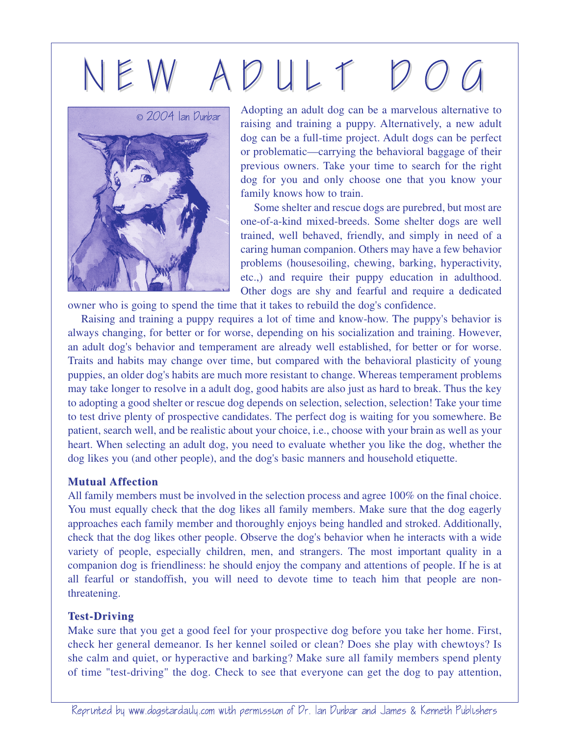# N E W A D U L T D O G



Adopting an adult dog can be a marvelous alternative to raising and training a puppy. Alternatively, a new adult dog can be a full-time project. Adult dogs can be perfect or problematic—carrying the behavioral baggage of their previous owners. Take your time to search for the right dog for you and only choose one that you know your family knows how to train.

Some shelter and rescue dogs are purebred, but most are one-of-a-kind mixed-breeds. Some shelter dogs are well trained, well behaved, friendly, and simply in need of a caring human companion. Others may have a few behavior problems (housesoiling, chewing, barking, hyperactivity, etc.,) and require their puppy education in adulthood. Other dogs are shy and fearful and require a dedicated owner who is going to spend the time that it takes to rebuild the dog's confidence.

Raising and training a puppy requires a lot of time and know-how. The puppy's behavior is

always changing, for better or for worse, depending on his socialization and training. However, an adult dog's behavior and temperament are already well established, for better or for worse. Traits and habits may change over time, but compared with the behavioral plasticity of young puppies, an older dog's habits are much more resistant to change. Whereas temperament problems may take longer to resolve in a adult dog, good habits are also just as hard to break. Thus the key to adopting a good shelter or rescue dog depends on selection, selection, selection! Take your time to test drive plenty of prospective candidates. The perfect dog is waiting for you somewhere. Be patient, search well, and be realistic about your choice, i.e., choose with your brain as well as your heart. When selecting an adult dog, you need to evaluate whether you like the dog, whether the dog likes you (and other people), and the dog's basic manners and household etiquette.

### **Mutual Affection**

All family members must be involved in the selection process and agree 100% on the final choice. You must equally check that the dog likes all family members. Make sure that the dog eagerly approaches each family member and thoroughly enjoys being handled and stroked. Additionally, check that the dog likes other people. Observe the dog's behavior when he interacts with a wide variety of people, especially children, men, and strangers. The most important quality in a companion dog is friendliness: he should enjoy the company and attentions of people. If he is at all fearful or standoffish, you will need to devote time to teach him that people are nonthreatening.

## **Test-Driving est-Driving**

Make sure that you get a good feel for your prospective dog before you take her home. First, check her general demeanor. Is her kennel soiled or clean? Does she play with chewtoys? Is she calm and quiet, or hyperactive and barking? Make sure all family members spend plenty of time "test-driving" the dog. Check to see that everyone can get the dog to pay attention,